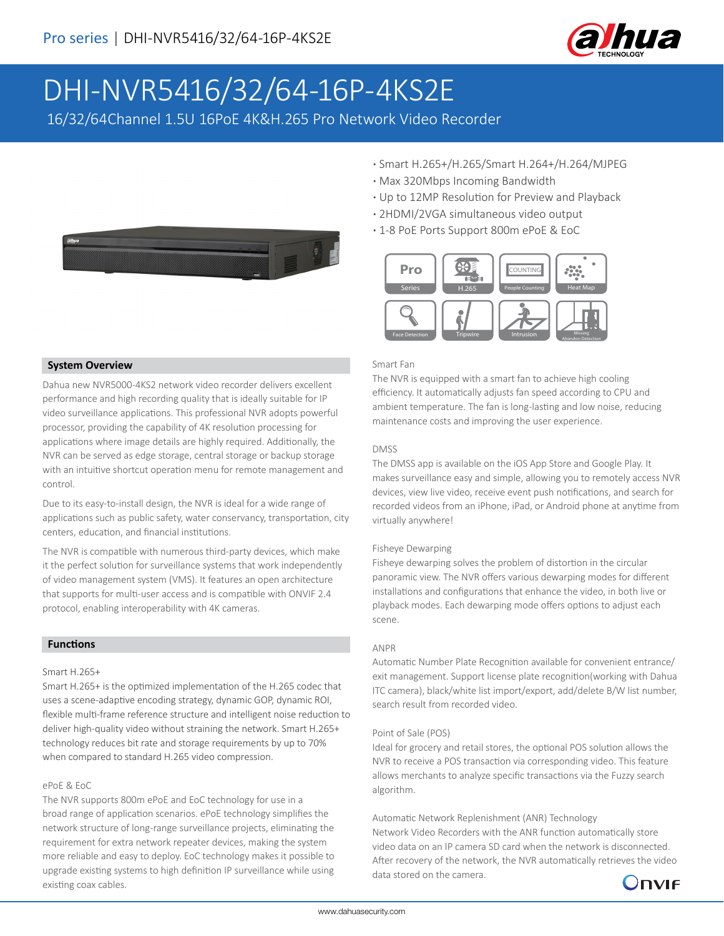

# DHI-NVR5416/32/64-16P-4KS2E

16/32/64Channel 1.5U 16PoE 4K&H.265 Pro Network Video Recorder



- **·** Smart H.265+/H.265/Smart H.264+/H.264/MJPEG
- **·** Max 320Mbps Incoming Bandwidth
- **·** Up to 12MP Resolution for Preview and Playback
- **·** 2HDMI/2VGA simultaneous video output
- **·** 1-8 PoE Ports Support 800m ePoE & EoC



#### Smart Fan

The NVR is equipped with a smart fan to achieve high cooling efficiency. It automatically adjusts fan speed according to CPU and ambient temperature. The fan is long-lasting and low noise, reducing maintenance costs and improving the user experience.

#### DMSS

The DMSS app is available on the iOS App Store and Google Play. It makes surveillance easy and simple, allowing you to remotely access NVR devices, view live video, receive event push notifications, and search for recorded videos from an iPhone, iPad, or Android phone at anytime from virtually anywhere!

#### Fisheye Dewarping

Fisheye dewarping solves the problem of distortion in the circular panoramic view. The NVR offers various dewarping modes for different installations and configurations that enhance the video, in both live or playback modes. Each dewarping mode offers options to adjust each scene.

#### ANPR

Automatic Number Plate Recognition available for convenient entrance/ exit management. Support license plate recognition(working with Dahua ITC camera), black/white list import/export, add/delete B/W list number, search result from recorded video.

#### Point of Sale (POS)

Ideal for grocery and retail stores, the optional POS solution allows the NVR to receive a POS transaction via corresponding video. This feature allows merchants to analyze specific transactions via the Fuzzy search algorithm.

Automatic Network Replenishment (ANR) Technology Network Video Recorders with the ANR function automatically store video data on an IP camera SD card when the network is disconnected. After recovery of the network, the NVR automatically retrieves the video data stored on the camera.



# **System Overview**

Dahua new NVR5000-4KS2 network video recorder delivers excellent performance and high recording quality that is ideally suitable for IP video surveillance applications. This professional NVR adopts powerful processor, providing the capability of 4K resolution processing for applications where image details are highly required. Additionally, the NVR can be served as edge storage, central storage or backup storage with an intuitive shortcut operation menu for remote management and control.

Due to its easy-to-install design, the NVR is ideal for a wide range of applications such as public safety, water conservancy, transportation, city centers, education, and financial institutions.

The NVR is compatible with numerous third-party devices, which make it the perfect solution for surveillance systems that work independently of video management system (VMS). It features an open architecture that supports for multi-user access and is compatible with ONVIF 2.4 protocol, enabling interoperability with 4K cameras.

# **Functions**

#### Smart H.265+

Smart H.265+ is the optimized implementation of the H.265 codec that uses a scene-adaptive encoding strategy, dynamic GOP, dynamic ROI, flexible multi-frame reference structure and intelligent noise reduction to deliver high-quality video without straining the network. Smart H.265+ technology reduces bit rate and storage requirements by up to 70% when compared to standard H.265 video compression.

### ePoE & EoC

The NVR supports 800m ePoE and EoC technology for use in a broad range of application scenarios. ePoE technology simplifies the network structure of long-range surveillance projects, eliminating the requirement for extra network repeater devices, making the system more reliable and easy to deploy. EoC technology makes it possible to upgrade existing systems to high definition IP surveillance while using existing coax cables.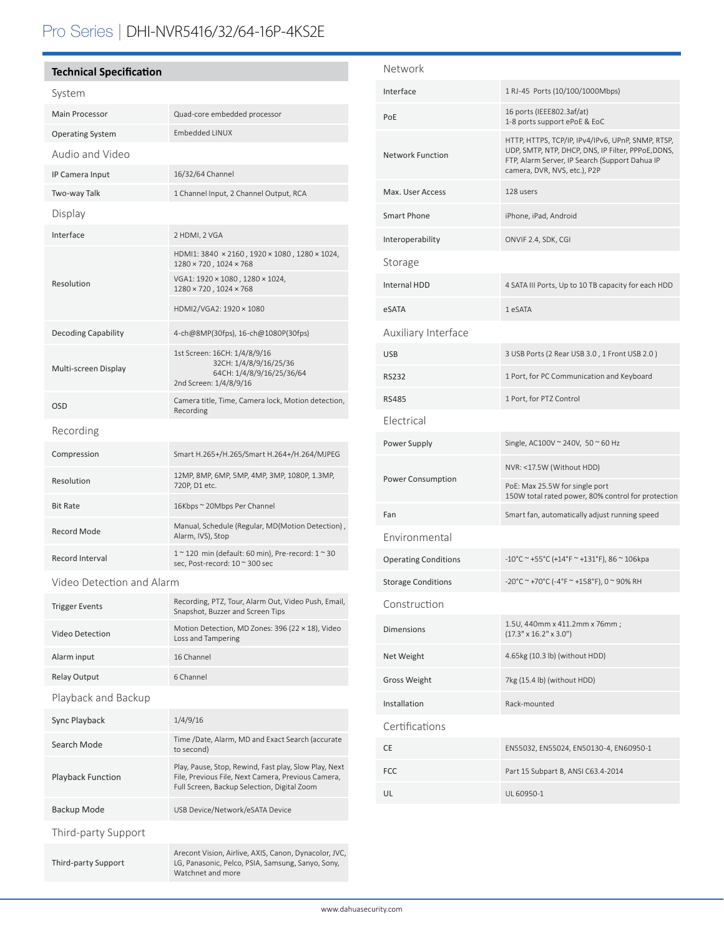# Pro Series | DHI-NVR5416/32/64-16P-4KS2E

## **Technical Specification**

| System                     |                                                                                                               |  |
|----------------------------|---------------------------------------------------------------------------------------------------------------|--|
| Main Processor             | Quad-core embedded processor                                                                                  |  |
| <b>Operating System</b>    | <b>Embedded LINUX</b>                                                                                         |  |
| Audio and Video            |                                                                                                               |  |
| IP Camera Input            | 16/32/64 Channel                                                                                              |  |
| Two-way Talk               | 1 Channel Input, 2 Channel Output, RCA                                                                        |  |
| Display                    |                                                                                                               |  |
| Interface                  | 2 HDMI, 2 VGA                                                                                                 |  |
| Resolution                 | HDMI1: 3840 × 2160, 1920 × 1080, 1280 × 1024,<br>1280 × 720, 1024 × 768                                       |  |
|                            | VGA1: 1920 × 1080, 1280 × 1024,<br>1280 × 720, 1024 × 768                                                     |  |
|                            | HDMI2/VGA2: 1920 × 1080                                                                                       |  |
| <b>Decoding Capability</b> | 4-ch@8MP(30fps), 16-ch@1080P(30fps)                                                                           |  |
| Multi-screen Display       | 1st Screen: 16CH: 1/4/8/9/16<br>32CH: 1/4/8/9/16/25/36<br>64CH: 1/4/8/9/16/25/36/64<br>2nd Screen: 1/4/8/9/16 |  |
| <b>OSD</b>                 | Camera title, Time, Camera lock, Motion detection,<br>Recording                                               |  |
| Recording                  |                                                                                                               |  |
| Compression                | Smart H.265+/H.265/Smart H.264+/H.264/MJPEG                                                                   |  |
| Resolution                 | 12MP, 8MP, 6MP, 5MP, 4MP, 3MP, 1080P, 1.3MP,<br>720P, D1 etc.                                                 |  |
| <b>Bit Rate</b>            | 16Kbps ~ 20Mbps Per Channel                                                                                   |  |
| Record Mode                | Manual, Schedule (Regular, MD(Motion Detection),<br>Alarm, IVS), Stop                                         |  |
| Record Interval            | 1~120 min (default: 60 min), Pre-record: 1~30<br>sec, Post-record: 10 ~ 300 sec                               |  |
|                            |                                                                                                               |  |

Video Detection and Alarm

| <b>Trigger Events</b>    | Recording, PTZ, Tour, Alarm Out, Video Push, Email,<br>Snapshot, Buzzer and Screen Tips                                                                    |  |
|--------------------------|------------------------------------------------------------------------------------------------------------------------------------------------------------|--|
| Video Detection          | Motion Detection, MD Zones: 396 (22 × 18), Video<br>Loss and Tampering                                                                                     |  |
| Alarm input              | 16 Channel                                                                                                                                                 |  |
| <b>Relay Output</b>      | 6 Channel                                                                                                                                                  |  |
| Playback and Backup      |                                                                                                                                                            |  |
| Sync Playback            | 1/4/9/16                                                                                                                                                   |  |
| Search Mode              | Time /Date, Alarm, MD and Exact Search (accurate<br>to second)                                                                                             |  |
| <b>Playback Function</b> | Play, Pause, Stop, Rewind, Fast play, Slow Play, Next<br>File, Previous File, Next Camera, Previous Camera,<br>Full Screen, Backup Selection, Digital Zoom |  |
| Backup Mode              | USB Device/Network/eSATA Device                                                                                                                            |  |
| Third-party Support      |                                                                                                                                                            |  |
| Third-party Support      | Arecont Vision, Airlive, AXIS, Canon, Dynacolor, JVC,<br>LG, Panasonic, Pelco, PSIA, Samsung, Sanyo, Sony,<br>Watchnet and more                            |  |

| Network                     |                                                                                                                                                                                           |  |
|-----------------------------|-------------------------------------------------------------------------------------------------------------------------------------------------------------------------------------------|--|
| Interface                   | 1 RJ-45 Ports (10/100/1000Mbps)                                                                                                                                                           |  |
| PoE                         | 16 ports (IEEE802.3af/at)<br>1-8 ports support ePoE & EoC                                                                                                                                 |  |
| <b>Network Function</b>     | HTTP, HTTPS, TCP/IP, IPv4/IPv6, UPnP, SNMP, RTSP,<br>UDP, SMTP, NTP, DHCP, DNS, IP Filter, PPPoE, DDNS,<br>FTP, Alarm Server, IP Search (Support Dahua IP<br>camera, DVR, NVS, etc.), P2P |  |
| Max. User Access            | 128 users                                                                                                                                                                                 |  |
| Smart Phone                 | iPhone, iPad, Android                                                                                                                                                                     |  |
| Interoperability            | ONVIF 2.4, SDK, CGI                                                                                                                                                                       |  |
| Storage                     |                                                                                                                                                                                           |  |
| <b>Internal HDD</b>         | 4 SATA III Ports, Up to 10 TB capacity for each HDD                                                                                                                                       |  |
| eSATA                       | 1 eSATA                                                                                                                                                                                   |  |
| Auxiliary Interface         |                                                                                                                                                                                           |  |
| <b>USB</b>                  | 3 USB Ports (2 Rear USB 3.0, 1 Front USB 2.0)                                                                                                                                             |  |
| <b>RS232</b>                | 1 Port, for PC Communication and Keyboard                                                                                                                                                 |  |
| <b>RS485</b>                | 1 Port, for PTZ Control                                                                                                                                                                   |  |
| Electrical                  |                                                                                                                                                                                           |  |
| Power Supply                | Single, AC100V ~ 240V, 50 ~ 60 Hz                                                                                                                                                         |  |
| <b>Power Consumption</b>    | NVR: <17.5W (Without HDD)                                                                                                                                                                 |  |
|                             | PoE: Max 25.5W for single port<br>150W total rated power, 80% control for protection                                                                                                      |  |
| Fan                         | Smart fan, automatically adjust running speed                                                                                                                                             |  |
| Environmental               |                                                                                                                                                                                           |  |
| <b>Operating Conditions</b> | -10°C ~ +55°C (+14°F ~ +131°F), 86 ~ 106kpa                                                                                                                                               |  |
| <b>Storage Conditions</b>   | -20°C ~ +70°C (-4°F ~ +158°F), 0 ~ 90% RH                                                                                                                                                 |  |
| Construction                |                                                                                                                                                                                           |  |
| <b>Dimensions</b>           | 1.5U, 440mm x 411.2mm x 76mm;<br>$(17.3" \times 16.2" \times 3.0")$                                                                                                                       |  |
| Net Weight                  | 4.65kg (10.3 lb) (without HDD)                                                                                                                                                            |  |
| <b>Gross Weight</b>         | 7kg (15.4 lb) (without HDD)                                                                                                                                                               |  |
| Installation                | Rack-mounted                                                                                                                                                                              |  |
| Certifications              |                                                                                                                                                                                           |  |
| CE                          | EN55032, EN55024, EN50130-4, EN60950-1                                                                                                                                                    |  |
| FCC                         | Part 15 Subpart B, ANSI C63.4-2014                                                                                                                                                        |  |
| UL                          | UL 60950-1                                                                                                                                                                                |  |